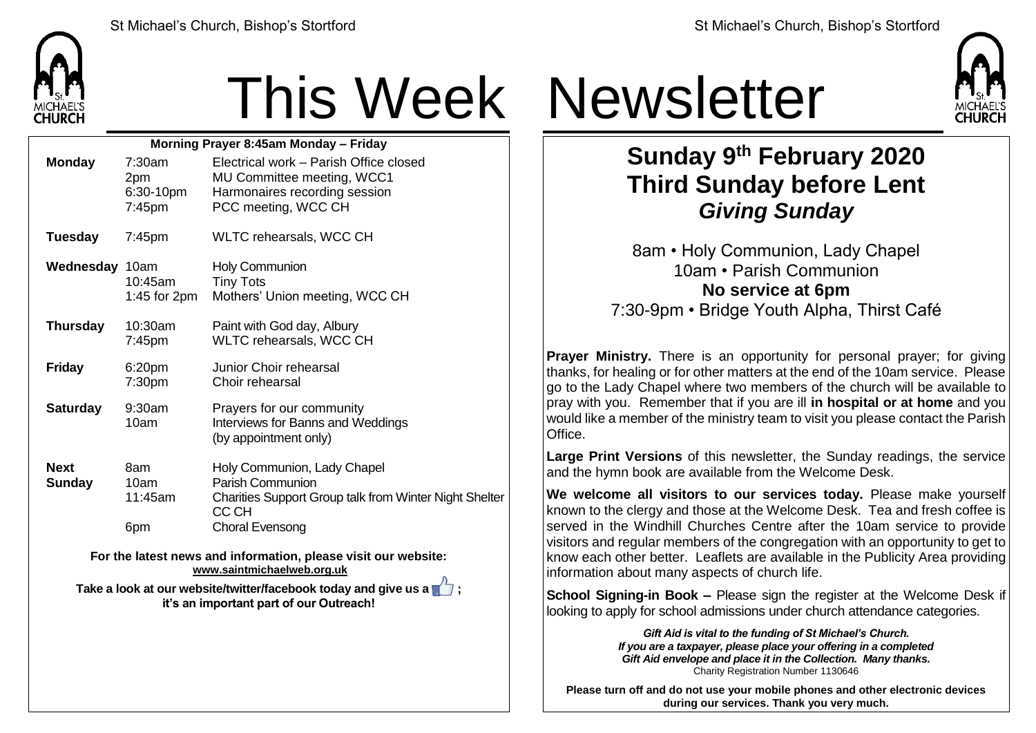

## This Week Newsletter

| Morning Prayer 8:45am Monday - Friday |                                      |                                                                                                                              |  |  |  |
|---------------------------------------|--------------------------------------|------------------------------------------------------------------------------------------------------------------------------|--|--|--|
| <b>Monday</b>                         | 7:30am<br>2pm<br>6:30-10pm<br>7:45pm | Electrical work - Parish Office closed<br>MU Committee meeting, WCC1<br>Harmonaires recording session<br>PCC meeting, WCC CH |  |  |  |
| <b>Tuesday</b>                        | $7:45$ pm                            | WLTC rehearsals, WCC CH                                                                                                      |  |  |  |
| Wednesday 10am                        | $10:45$ am<br>1:45 for 2pm           | <b>Holy Communion</b><br><b>Tiny Tots</b><br>Mothers' Union meeting, WCC CH                                                  |  |  |  |
| <b>Thursday</b>                       | 10:30am<br>7:45pm                    | Paint with God day, Albury<br>WLTC rehearsals, WCC CH                                                                        |  |  |  |
| <b>Friday</b>                         | 6:20pm<br>7:30pm                     | Junior Choir rehearsal<br>Choir rehearsal                                                                                    |  |  |  |
| <b>Saturday</b>                       | $9:30$ am<br>10am                    | Prayers for our community<br>Interviews for Banns and Weddings<br>(by appointment only)                                      |  |  |  |
| <b>Next</b><br><b>Sunday</b>          | 8am<br>10am<br>11:45am               | Holy Communion, Lady Chapel<br>Parish Communion<br><b>Charities Support Group talk from Winter Night Shelter</b><br>CC CH    |  |  |  |
|                                       | 6pm                                  | Choral Evensong                                                                                                              |  |  |  |

**For the latest news and information, please visit our website: [www.saintmichaelweb.org.uk](http://www.saintmichaelweb.org.uk/)**

**Take a look at our website/twitter/facebook today and give us a**  $\mathbb{T}$ **: it's an important part of our Outreach!**



**Sunday 9 th February 2020 Third Sunday before Lent** *Giving Sunday*

8am • Holy Communion, Lady Chapel 10am • Parish Communion **No service at 6pm** 7:30-9pm • Bridge Youth Alpha, Thirst Café

**Prayer Ministry.** There is an opportunity for personal prayer; for giving thanks, for healing or for other matters at the end of the 10am service. Please go to the Lady Chapel where two members of the church will be available to pray with you. Remember that if you are ill **in hospital or at home** and you would like a member of the ministry team to visit you please contact the Parish Office.

**Large Print Versions** of this newsletter, the Sunday readings, the service and the hymn book are available from the Welcome Desk.

**We welcome all visitors to our services today.** Please make yourself known to the clergy and those at the Welcome Desk. Tea and fresh coffee is served in the Windhill Churches Centre after the 10am service to provide visitors and regular members of the congregation with an opportunity to get to know each other better. Leaflets are available in the Publicity Area providing information about many aspects of church life.

**School Signing-in Book –** Please sign the register at the Welcome Desk if looking to apply for school admissions under church attendance categories.

> *Gift Aid is vital to the funding of St Michael's Church. If you are a taxpayer, please place your offering in a completed Gift Aid envelope and place it in the Collection. Many thanks.* Charity Registration Number 1130646

**Please turn off and do not use your mobile phones and other electronic devices during our services. Thank you very much.**